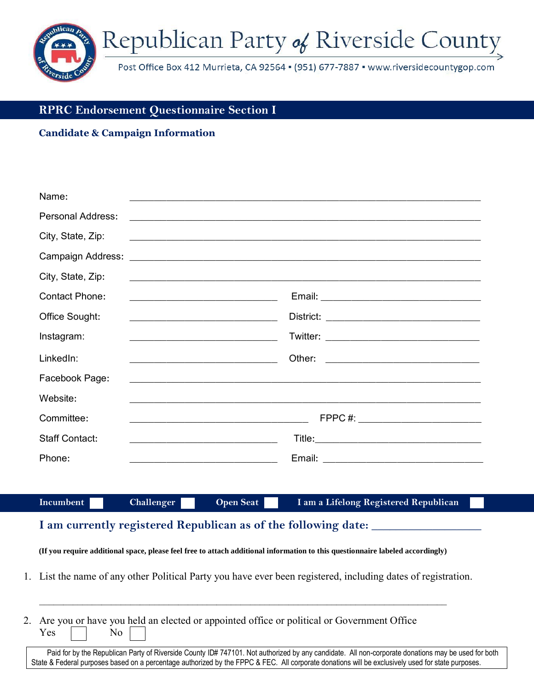

## **RPRC Endorsement Questionnaire Section I**

#### **Candidate & Campaign Information**

| Name:                    |                                                                                                                                                                     |
|--------------------------|---------------------------------------------------------------------------------------------------------------------------------------------------------------------|
| <b>Personal Address:</b> |                                                                                                                                                                     |
| City, State, Zip:        |                                                                                                                                                                     |
|                          |                                                                                                                                                                     |
| City, State, Zip:        | <u> 2000 - Jan James James James James James James James James James James James James James James James James J</u>                                                |
| <b>Contact Phone:</b>    | <u> 2008 - Jan Bernard Bernard, mengang pada pada 2008 - Pada pada 2008 - Pada pada 2008 - Pada pada 2008 - Pada</u>                                                |
| Office Sought:           |                                                                                                                                                                     |
| Instagram:               | <u> 1989 - Johann John Harry Harry Harry Harry Harry Harry Harry Harry Harry Harry Harry Harry Harry Harry Harry</u>                                                |
| LinkedIn:                | <u> Andreas Andrew Maria (1989)</u>                                                                                                                                 |
| Facebook Page:           | ,我们也不能在这里的时候,我们也不能会在这里,我们也不能会在这里,我们也不能会在这里,我们也不能会在这里的时候,我们也不能会在这里,我们也不能会不能会不能会。<br>第251章 我们的时候,我们的时候,我们的时候,我们的时候,我们的时候,我们的时候,我们的时候,我们的时候,我们的时候,我们的时候,我们的时候,我们的时候,我们 |
| Website:                 |                                                                                                                                                                     |
| Committee:               | FPPC #: _______________________________<br><u> 2000 - Johann Johann Stoff, deutscher Stoffen und der Stoffen und der Stoffen und der Stoffen und der Stoffen</u>    |
| <b>Staff Contact:</b>    | <u> 2002 - Johann John Stein, mars and de British and de British and de British and de British and de British and</u>                                               |
| Phone:                   | the control of the control of the control of the control of the control of                                                                                          |

**Incumbent Challenger Open Seat I am a Lifelong Registered Republican** 

# I am currently registered Republican as of the following date:

**(If you require additional space, please feel free to attach additional information to this questionnaire labeled accordingly)** 

1. List the name of any other Political Party you have ever been registered, including dates of registration.

\_\_\_\_\_\_\_\_\_\_\_\_\_\_\_\_\_\_\_\_\_\_\_\_\_\_\_\_\_\_\_\_\_\_\_\_\_\_\_\_\_\_\_\_\_\_\_\_\_\_\_\_\_\_\_\_\_\_\_\_\_\_\_\_\_\_\_\_\_\_\_\_\_\_\_\_\_\_\_\_\_\_\_\_\_

| 2. Are you or have you held an elected or appointed office or political or Government Office |  |  |  |  |
|----------------------------------------------------------------------------------------------|--|--|--|--|
| $Yes \t No \t$                                                                               |  |  |  |  |

Paid for by the Republican Party of Riverside County ID# 747101. Not authorized by any candidate. All non-corporate donations may be used for both State & Federal purposes based on a percentage authorized by the FPPC & FEC. All corporate donations will be exclusively used for state purposes.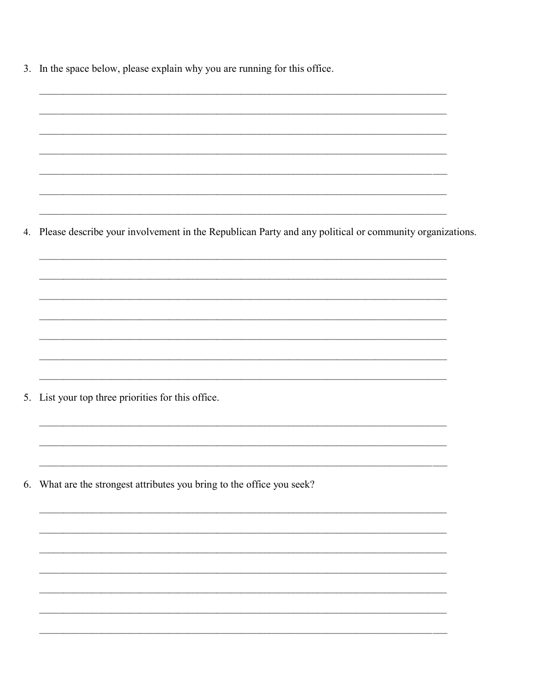| 3. In the space below, please explain why you are running for this office. |  |  |  |  |
|----------------------------------------------------------------------------|--|--|--|--|
|                                                                            |  |  |  |  |

4. Please describe your involvement in the Republican Party and any political or community organizations.

<u> 1989 - Jan James James James James James James James James James James James James James James James James J</u>

5. List your top three priorities for this office.

6. What are the strongest attributes you bring to the office you seek?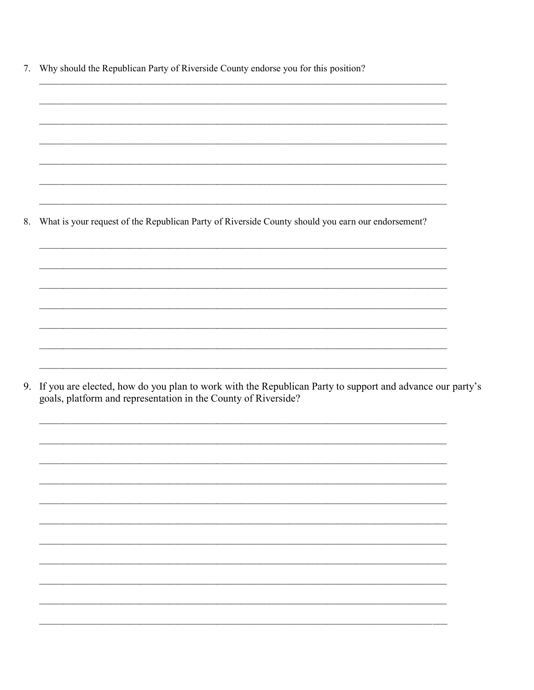7. Why should the Republican Party of Riverside County endorse you for this position?

What is your request of the Republican Party of Riverside County should you earn our endorsement? 8.

9. If you are elected, how do you plan to work with the Republican Party to support and advance our party's goals, platform and representation in the County of Riverside?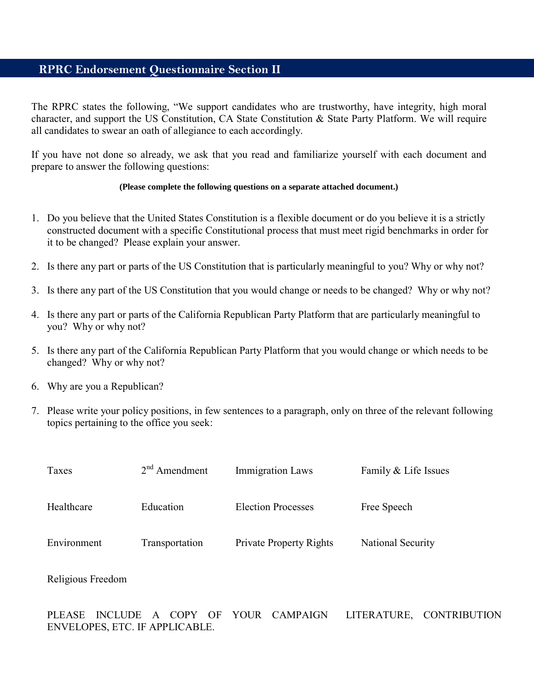## **RPRC Endorsement Questionnaire Section II**

The RPRC states the following, "We support candidates who are trustworthy, have integrity, high moral character, and support the US Constitution, CA State Constitution & State Party Platform. We will require all candidates to swear an oath of allegiance to each accordingly.

If you have not done so already, we ask that you read and familiarize yourself with each document and prepare to answer the following questions:

#### **(Please complete the following questions on a separate attached document.)**

- 1. Do you believe that the United States Constitution is a flexible document or do you believe it is a strictly constructed document with a specific Constitutional process that must meet rigid benchmarks in order for it to be changed? Please explain your answer.
- 2. Is there any part or parts of the US Constitution that is particularly meaningful to you? Why or why not?
- 3. Is there any part of the US Constitution that you would change or needs to be changed? Why or why not?
- 4. Is there any part or parts of the California Republican Party Platform that are particularly meaningful to you? Why or why not?
- 5. Is there any part of the California Republican Party Platform that you would change or which needs to be changed? Why or why not?
- 6. Why are you a Republican?
- 7. Please write your policy positions, in few sentences to a paragraph, only on three of the relevant following topics pertaining to the office you seek:

| Taxes       | $2nd$ Amendment | <b>Immigration Laws</b>        | Family & Life Issues |
|-------------|-----------------|--------------------------------|----------------------|
| Healthcare  | Education       | <b>Election Processes</b>      | Free Speech          |
| Environment | Transportation  | <b>Private Property Rights</b> | National Security    |

Religious Freedom

PLEASE INCLUDE A COPY OF YOUR CAMPAIGN LITERATURE, CONTRIBUTION ENVELOPES, ETC. IF APPLICABLE.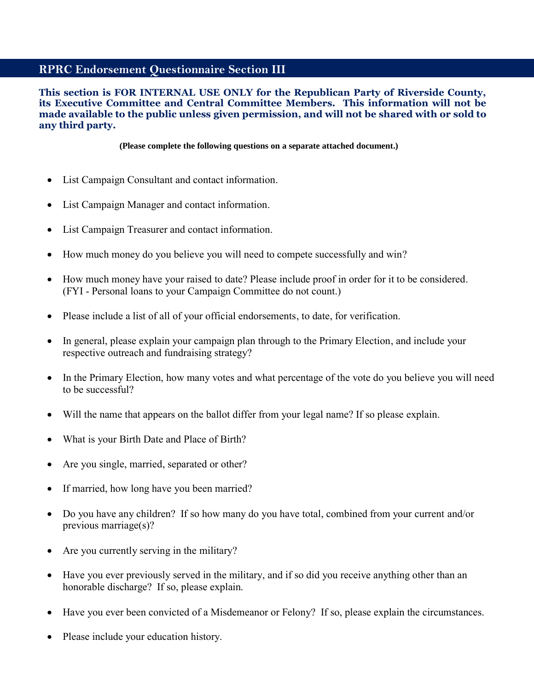## **RPRC Endorsement Questionnaire Section III**

#### **This section is FOR INTERNAL USE ONLY for the Republican Party of Riverside County, its Executive Committee and Central Committee Members. This information will not be made available to the public unless given permission, and will not be shared with or sold to any third party.**

**(Please complete the following questions on a separate attached document.)** 

- List Campaign Consultant and contact information.
- List Campaign Manager and contact information.
- List Campaign Treasurer and contact information.
- How much money do you believe you will need to compete successfully and win?
- How much money have your raised to date? Please include proof in order for it to be considered. (FYI - Personal loans to your Campaign Committee do not count.)
- Please include a list of all of your official endorsements, to date, for verification.
- In general, please explain your campaign plan through to the Primary Election, and include your respective outreach and fundraising strategy?
- In the Primary Election, how many votes and what percentage of the vote do you believe you will need to be successful?
- Will the name that appears on the ballot differ from your legal name? If so please explain.
- What is your Birth Date and Place of Birth?
- Are you single, married, separated or other?
- If married, how long have you been married?
- Do you have any children? If so how many do you have total, combined from your current and/or previous marriage(s)?
- Are you currently serving in the military?
- Have you ever previously served in the military, and if so did you receive anything other than an honorable discharge? If so, please explain.
- Have you ever been convicted of a Misdemeanor or Felony? If so, please explain the circumstances.
- Please include your education history.